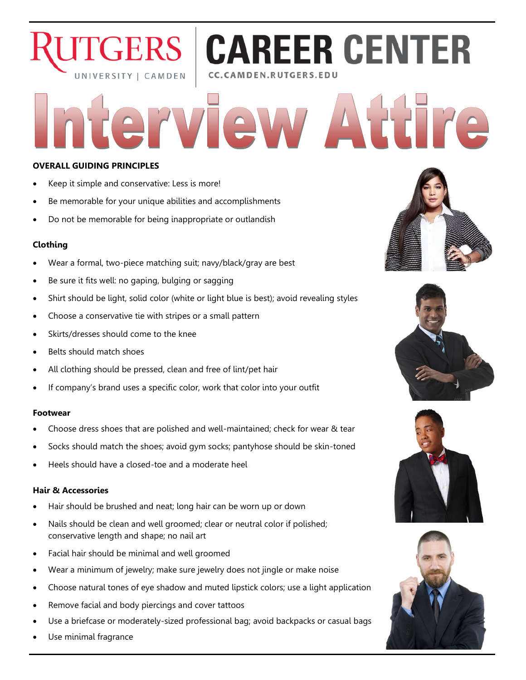# **CAREER CENTER CERS** UNIVERSITY | CAMDEN CC.CAMDEN.RUTGERS.EDU

Wiew Attire

## **OVERALL GUIDING PRINCIPLES**

- Keep it simple and conservative: Less is more!
- Be memorable for your unique abilities and accomplishments
- Do not be memorable for being inappropriate or outlandish

#### **Clothing**

- Wear a formal, two-piece matching suit; navy/black/gray are best
- Be sure it fits well: no gaping, bulging or sagging
- Shirt should be light, solid color (white or light blue is best); avoid revealing styles
- Choose a conservative tie with stripes or a small pattern
- Skirts/dresses should come to the knee
- Belts should match shoes
- All clothing should be pressed, clean and free of lint/pet hair
- If company's brand uses a specific color, work that color into your outfit

#### **Footwear**

- Choose dress shoes that are polished and well-maintained; check for wear & tear
- Socks should match the shoes; avoid gym socks; pantyhose should be skin-toned
- Heels should have a closed-toe and a moderate heel

### **Hair & Accessories**

- Hair should be brushed and neat; long hair can be worn up or down
- Nails should be clean and well groomed; clear or neutral color if polished; conservative length and shape; no nail art
- Facial hair should be minimal and well groomed
- Wear a minimum of jewelry; make sure jewelry does not jingle or make noise
- Choose natural tones of eye shadow and muted lipstick colors; use a light application
- Remove facial and body piercings and cover tattoos
- Use a briefcase or moderately-sized professional bag; avoid backpacks or casual bags
- Use minimal fragrance